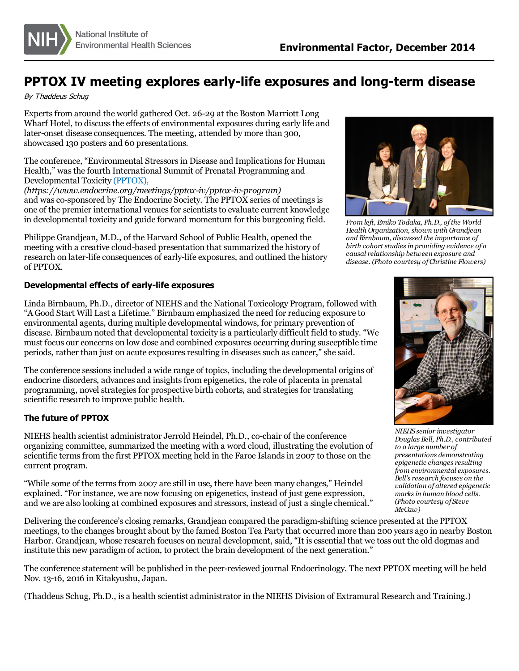

## **PPTOX IV meeting explores early-life exposures and long-term disease**

By Thaddeus Schug

Expertsfrom around the world gathered Oct. 26-29 at the Boston Marriott Long Wharf Hotel, to discussthe effects of environmental exposures during early life and later-onset disease consequences. The meeting, attended by more than 300, showcased 130 posters and 60 presentations.

The conference, "Environmental Stressorsin Disease and Implicationsfor Human Health," wasthe fourth International Summit of Prenatal Programming and Developmental Toxicity [\(PPTOX\),](https://www.endocrine.org/meetings/pptox-iv/pptox-iv-program)

*(https://www.endocrine.org/meetings/pptox-iv/pptox-iv-program)* and was co-sponsored by The Endocrine Society. The PPTOX series of meetings is one of the premier international venues for scientists to evaluate current knowledge in developmental toxicity and guide forward momentum for this burgeoning field.

Philippe Grandjean, M.D., of the Harvard School of Public Health, opened the meeting with a creative cloud-based presentation that summarized the history of research on later-life consequences of early-life exposures, and outlined the history of PPTOX.

## **Developmental effects of early-life exposures**

Linda Birnbaum, Ph.D., director of NIEHS and the National Toxicology Program, followed with "A Good Start Will Last a Lifetime." Birnbaum emphasized the need for reducing exposure to environmental agents, during multiple developmental windows, for primary prevention of disease. Birnbaum noted that developmental toxicity is a particularly difficult field to study. "We must focus our concerns on low dose and combined exposures occurring during susceptible time periods, rather than just on acute exposures resulting in diseases such as cancer," she said.

The conference sessionsincluded a wide range of topics, including the developmental origins of endocrine disorders, advances and insights from epigenetics, the role of placenta in prenatal programming, novel strategiesfor prospective birth cohorts, and strategiesfor translating scientific research to improve public health.

## **The future of PPTOX**

NIEHS health scientist administrator Jerrold Heindel, Ph.D., co-chair of the conference organizing committee, summarized the meeting with a word cloud, illustrating the evolution of scientific terms from the first PPTOX meeting held in the Faroe Islands in 2007 to those on the current program.

"While some of the termsfrom 2007 are still in use, there have been many changes," Heindel explained. "For instance, we are now focusing on epigenetics, instead of just gene expression, and we are also looking at combined exposures and stressors, instead of just a single chemical."

Delivering the conference's closing remarks, Grandjean compared the paradigm-shifting science presented at the PPTOX meetings, to the changes brought about by the famed Boston Tea Party that occurred more than 200 years ago in nearby Boston Harbor. Grandjean, whose research focuses on neural development, said, "It is essential that we toss out the old dogmas and institute this new paradigm of action, to protect the brain development of the next generation."

The conference statement will be published in the peer-reviewed journal Endocrinology. The next PPTOX meeting will be held Nov. 13-16, 2016 in Kitakyushu, Japan.

(Thaddeus Schug, Ph.D., is a health scientist administrator in the NIEHS Division of Extramural Research and Training.)



*From left, Emiko Todaka, Ph.D., ofthe World Health Organization, shown with Grandjean and Birnbaum, discussed the importance of birth cohort studiesin providing evidence of a causal relationship between exposure and disease. (Photo courtesy of Christine Flowers)*



*NIEHS senior investigator Douglas Bell, Ph.D., contributed to a large number of presentations demonstrating epigenetic changes resulting from environmental exposures. Bell's research focuses on the validation of altered epigenetic marksin human blood cells. (Photo courtesy of Steve McCaw)*